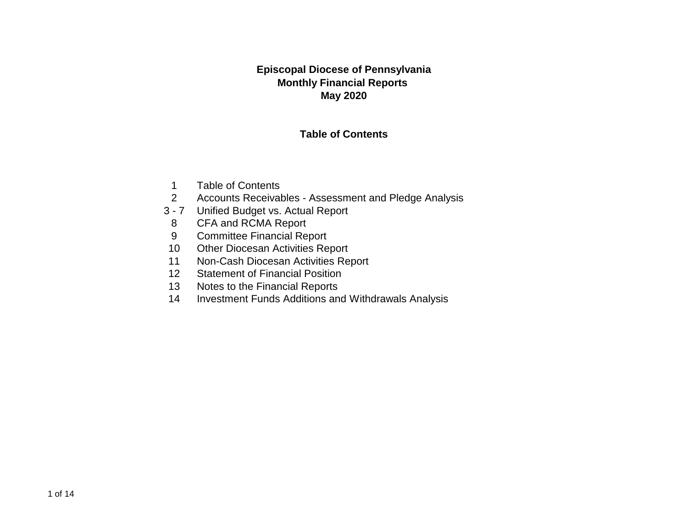### **Episcopal Diocese of Pennsylvania Monthly Financial Reports May 2020**

### **Table of Contents**

- 1 Table of Contents
- 2 Accounts Receivables Assessment and Pledge Analysis
- 3 7 Unified Budget vs. Actual Report
- 8 CFA and RCMA Report
- 9 Committee Financial Report
- 10 Other Diocesan Activities Report
- 11 Non-Cash Diocesan Activities Report
- 12 Statement of Financial Position
- 13 Notes to the Financial Reports
- 14 Investment Funds Additions and Withdrawals Analysis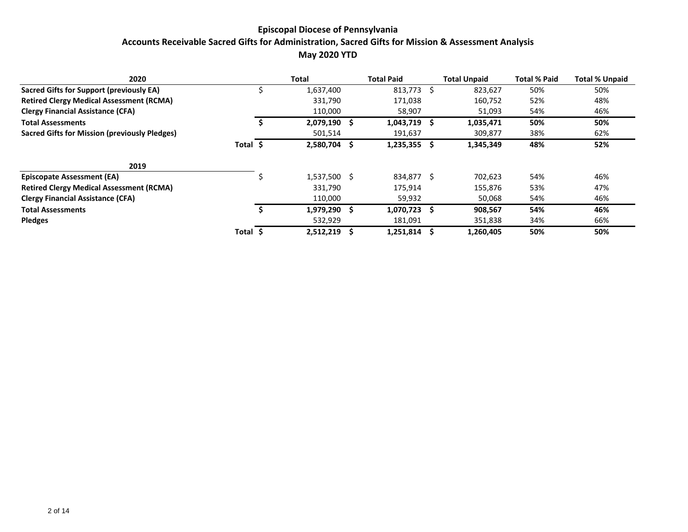### **Episcopal Diocese of Pennsylvania Accounts Receivable Sacred Gifts for Administration, Sacred Gifts for Mission & Assessment Analysis May 2020 YTD**

| 2020                                            |       |    | Total        |   | <b>Total Paid</b> | <b>Total Unpaid</b> | <b>Total % Paid</b> | <b>Total % Unpaid</b> |
|-------------------------------------------------|-------|----|--------------|---|-------------------|---------------------|---------------------|-----------------------|
| Sacred Gifts for Support (previously EA)        |       |    | 1,637,400    |   | $813,773$ \$      | 823,627             | 50%                 | 50%                   |
| <b>Retired Clergy Medical Assessment (RCMA)</b> |       |    | 331,790      |   | 171,038           | 160,752             | 52%                 | 48%                   |
| <b>Clergy Financial Assistance (CFA)</b>        |       |    | 110,000      |   | 58,907            | 51,093              | 54%                 | 46%                   |
| <b>Total Assessments</b>                        |       |    | 2,079,190    |   | $1,043,719$ \$    | 1,035,471           | 50%                 | 50%                   |
| Sacred Gifts for Mission (previously Pledges)   |       |    | 501,514      |   | 191,637           | 309,877             | 38%                 | 62%                   |
|                                                 | Total | -S | 2,580,704    | S | 1,235,355 \$      | 1,345,349           | 48%                 | 52%                   |
| 2019                                            |       |    |              |   |                   |                     |                     |                       |
| <b>Episcopate Assessment (EA)</b>               |       |    | 1,537,500 \$ |   | 834,877 \$        | 702,623             | 54%                 | 46%                   |
| <b>Retired Clergy Medical Assessment (RCMA)</b> |       |    | 331,790      |   | 175,914           | 155,876             | 53%                 | 47%                   |
| <b>Clergy Financial Assistance (CFA)</b>        |       |    | 110,000      |   | 59,932            | 50,068              | 54%                 | 46%                   |
| <b>Total Assessments</b>                        |       |    | 1.979.290 \$ |   | $1,070,723$ \$    | 908,567             | 54%                 | 46%                   |
| <b>Pledges</b>                                  |       |    | 532,929      |   | 181,091           | 351,838             | 34%                 | 66%                   |
|                                                 | Total |    | 2,512,219    | S | 1,251,814         | 1,260,405           | 50%                 | 50%                   |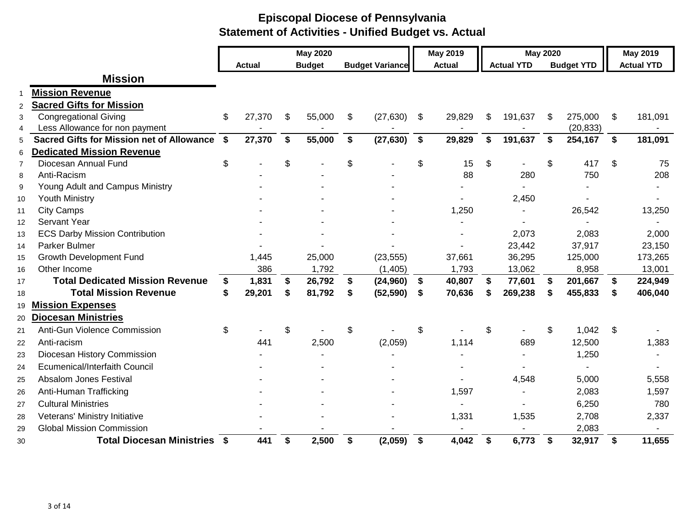|                |                                                  |               |    | <b>May 2020</b> |                        | <b>May 2019</b> |                   | <b>May 2020</b> |                   |               | <b>May 2019</b>   |
|----------------|--------------------------------------------------|---------------|----|-----------------|------------------------|-----------------|-------------------|-----------------|-------------------|---------------|-------------------|
|                |                                                  | <b>Actual</b> |    | <b>Budget</b>   | <b>Budget Variance</b> | <b>Actual</b>   | <b>Actual YTD</b> |                 | <b>Budget YTD</b> |               | <b>Actual YTD</b> |
|                | <b>Mission</b>                                   |               |    |                 |                        |                 |                   |                 |                   |               |                   |
|                | <b>Mission Revenue</b>                           |               |    |                 |                        |                 |                   |                 |                   |               |                   |
| $\overline{c}$ | <b>Sacred Gifts for Mission</b>                  |               |    |                 |                        |                 |                   |                 |                   |               |                   |
| 3              | <b>Congregational Giving</b>                     | \$<br>27,370  | \$ | 55,000          | \$<br>(27, 630)        | \$<br>29,829    | \$<br>191,637     | $\mathfrak{S}$  | 275,000           | \$            | 181,091           |
| $\overline{4}$ | Less Allowance for non payment                   |               |    |                 |                        |                 |                   |                 | (20, 833)         |               |                   |
| 5              | <b>Sacred Gifts for Mission net of Allowance</b> | \$<br>27,370  | \$ | 55,000          | \$<br>(27, 630)        | \$<br>29,829    | \$<br>191,637     | \$              | 254,167           | $\mathbf{s}$  | 181,091           |
| 6              | <b>Dedicated Mission Revenue</b>                 |               |    |                 |                        |                 |                   |                 |                   |               |                   |
| $\overline{7}$ | Diocesan Annual Fund                             | \$            | \$ |                 | \$                     | \$<br>15        | \$                | \$              | 417               | \$            | 75                |
| 8              | Anti-Racism                                      |               |    |                 |                        | 88              | 280               |                 | 750               |               | 208               |
| 9              | Young Adult and Campus Ministry                  |               |    |                 |                        |                 |                   |                 |                   |               |                   |
| 10             | <b>Youth Ministry</b>                            |               |    |                 |                        |                 | 2,450             |                 |                   |               |                   |
| 11             | <b>City Camps</b>                                |               |    |                 |                        | 1,250           | $\blacksquare$    |                 | 26,542            |               | 13,250            |
| 12             | Servant Year                                     |               |    |                 |                        |                 |                   |                 |                   |               |                   |
| 13             | <b>ECS Darby Mission Contribution</b>            |               |    |                 |                        |                 | 2,073             |                 | 2,083             |               | 2,000             |
| 14             | Parker Bulmer                                    |               |    |                 |                        |                 | 23,442            |                 | 37,917            |               | 23,150            |
| 15             | <b>Growth Development Fund</b>                   | 1,445         |    | 25,000          | (23, 555)              | 37,661          | 36,295            |                 | 125,000           |               | 173,265           |
| 16             | Other Income                                     | 386           |    | 1,792           | (1, 405)               | 1,793           | 13,062            |                 | 8,958             |               | 13,001            |
| 17             | <b>Total Dedicated Mission Revenue</b>           | \$<br>1,831   | S  | 26,792          | \$<br>(24, 960)        | \$<br>40,807    | \$<br>77,601      | \$              | 201,667           | \$            | 224,949           |
| 18             | <b>Total Mission Revenue</b>                     | \$<br>29,201  |    | 81,792          | \$<br>(52, 590)        | \$<br>70,636    | \$<br>269,238     | S               | 455,833           | \$            | 406,040           |
| 19             | <b>Mission Expenses</b>                          |               |    |                 |                        |                 |                   |                 |                   |               |                   |
| 20             | <b>Diocesan Ministries</b>                       |               |    |                 |                        |                 |                   |                 |                   |               |                   |
| 21             | Anti-Gun Violence Commission                     | \$            | \$ |                 | \$                     | \$              | \$                | \$              | 1,042             | $\mathcal{L}$ |                   |
| 22             | Anti-racism                                      | 441           |    | 2,500           | (2,059)                | 1,114           | 689               |                 | 12,500            |               | 1,383             |
| 23             | Diocesan History Commission                      |               |    |                 |                        |                 |                   |                 | 1,250             |               |                   |
| 24             | Ecumenical/Interfaith Council                    |               |    |                 |                        |                 |                   |                 | ٠                 |               |                   |
| 25             | <b>Absalom Jones Festival</b>                    |               |    |                 |                        |                 | 4,548             |                 | 5,000             |               | 5,558             |
| 26             | Anti-Human Trafficking                           |               |    |                 |                        | 1,597           |                   |                 | 2,083             |               | 1,597             |
| 27             | <b>Cultural Ministries</b>                       |               |    |                 |                        |                 |                   |                 | 6,250             |               | 780               |
| 28             | Veterans' Ministry Initiative                    |               |    |                 |                        | 1,331           | 1,535             |                 | 2,708             |               | 2,337             |
| 29             | <b>Global Mission Commission</b>                 |               |    |                 |                        |                 |                   |                 | 2,083             |               |                   |
| 30             | <b>Total Diocesan Ministries \$</b>              | 441           | \$ | 2,500           | \$<br>(2,059)          | \$<br>4,042     | \$<br>6,773       | \$              | 32,917            | \$            | 11,655            |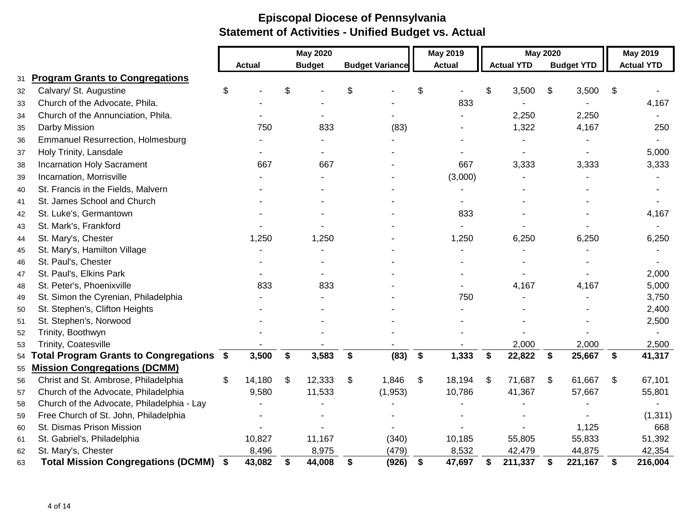|    |                                              |               | <b>May 2020</b> |                        | May 2019      |                   | <b>May 2020</b> |                   | <b>May 2019</b>   |
|----|----------------------------------------------|---------------|-----------------|------------------------|---------------|-------------------|-----------------|-------------------|-------------------|
|    |                                              | <b>Actual</b> | <b>Budget</b>   | <b>Budget Variance</b> | <b>Actual</b> | <b>Actual YTD</b> |                 | <b>Budget YTD</b> | <b>Actual YTD</b> |
| 31 | <b>Program Grants to Congregations</b>       |               |                 |                        |               |                   |                 |                   |                   |
| 32 | Calvary/ St. Augustine                       | \$            | \$              | \$                     | \$            | \$<br>3,500       | \$              | 3,500             | \$                |
| 33 | Church of the Advocate, Phila.               |               |                 |                        | 833           |                   |                 |                   | 4,167             |
| 34 | Church of the Annunciation, Phila.           |               |                 |                        |               | 2,250             |                 | 2,250             |                   |
| 35 | Darby Mission                                | 750           | 833             | (83)                   |               | 1,322             |                 | 4,167             | 250               |
| 36 | <b>Emmanuel Resurrection, Holmesburg</b>     |               |                 |                        |               |                   |                 |                   |                   |
| 37 | Holy Trinity, Lansdale                       |               |                 |                        |               |                   |                 |                   | 5,000             |
| 38 | <b>Incarnation Holy Sacrament</b>            | 667           | 667             |                        | 667           | 3,333             |                 | 3,333             | 3,333             |
| 39 | Incarnation, Morrisville                     |               |                 |                        | (3,000)       |                   |                 |                   |                   |
| 40 | St. Francis in the Fields, Malvern           |               |                 |                        |               |                   |                 |                   |                   |
| 41 | St. James School and Church                  |               |                 |                        |               |                   |                 |                   |                   |
| 42 | St. Luke's, Germantown                       |               |                 |                        | 833           |                   |                 |                   | 4,167             |
| 43 | St. Mark's, Frankford                        |               |                 |                        |               |                   |                 |                   |                   |
| 44 | St. Mary's, Chester                          | 1,250         | 1,250           |                        | 1,250         | 6,250             |                 | 6,250             | 6,250             |
| 45 | St. Mary's, Hamilton Village                 |               |                 |                        |               |                   |                 |                   |                   |
| 46 | St. Paul's, Chester                          |               |                 |                        |               |                   |                 |                   |                   |
| 47 | St. Paul's, Elkins Park                      |               |                 |                        |               |                   |                 |                   | 2,000             |
| 48 | St. Peter's, Phoenixville                    | 833           | 833             |                        |               | 4,167             |                 | 4,167             | 5,000             |
| 49 | St. Simon the Cyrenian, Philadelphia         |               |                 |                        | 750           |                   |                 |                   | 3,750             |
| 50 | St. Stephen's, Clifton Heights               |               |                 |                        |               |                   |                 |                   | 2,400             |
| 51 | St. Stephen's, Norwood                       |               |                 |                        |               |                   |                 |                   | 2,500             |
| 52 | Trinity, Boothwyn                            |               |                 |                        |               |                   |                 |                   |                   |
| 53 | Trinity, Coatesville                         |               |                 |                        |               | 2,000             |                 | 2,000             | 2,500             |
| 54 | Total Program Grants to Congregations \$     | 3,500         | \$<br>3,583     | \$<br>(83)             | \$<br>1,333   | \$<br>22,822      | $\mathbf{s}$    | 25,667            | \$<br>41,317      |
| 55 | <b>Mission Congregations (DCMM)</b>          |               |                 |                        |               |                   |                 |                   |                   |
| 56 | Christ and St. Ambrose, Philadelphia         | \$<br>14,180  | \$<br>12,333    | \$<br>1,846            | \$<br>18,194  | \$<br>71,687      | \$              | 61,667            | \$<br>67,101      |
| 57 | Church of the Advocate, Philadelphia         | 9,580         | 11,533          | (1,953)                | 10,786        | 41,367            |                 | 57,667            | 55,801            |
| 58 | Church of the Advocate, Philadelphia - Lay   |               |                 |                        |               |                   |                 |                   |                   |
| 59 | Free Church of St. John, Philadelphia        |               |                 |                        |               |                   |                 |                   | (1, 311)          |
| 60 | St. Dismas Prison Mission                    |               |                 |                        |               |                   |                 | 1,125             | 668               |
| 61 | St. Gabriel's, Philadelphia                  | 10,827        | 11,167          | (340)                  | 10,185        | 55,805            |                 | 55,833            | 51,392            |
| 62 | St. Mary's, Chester                          | 8,496         | 8,975           | (479)                  | 8,532         | 42,479            |                 | 44,875            | 42,354            |
| 63 | <b>Total Mission Congregations (DCMM) \$</b> | 43,082        | \$<br>44,008    | \$<br>(926)            | \$<br>47,697  | \$<br>211,337     | \$              | 221,167           | \$<br>216,004     |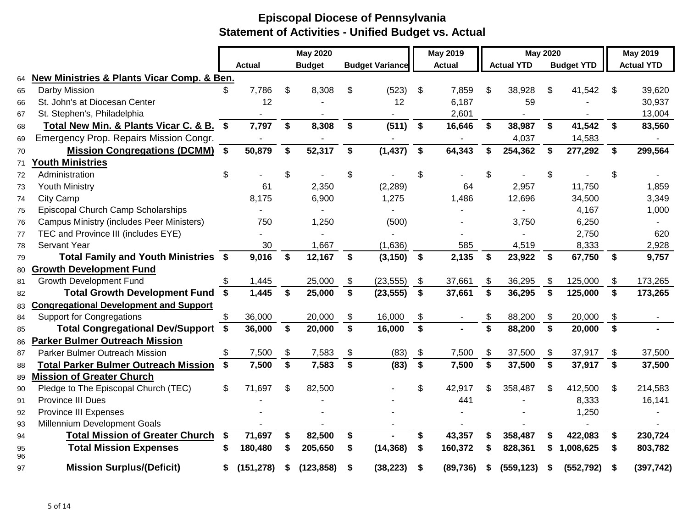|          |                                                           |              |               |                    | <b>May 2020</b> |                         |                        |                         | <b>May 2019</b> |                         | <b>May 2020</b>   |                         |                   |             | <b>May 2019</b>   |
|----------|-----------------------------------------------------------|--------------|---------------|--------------------|-----------------|-------------------------|------------------------|-------------------------|-----------------|-------------------------|-------------------|-------------------------|-------------------|-------------|-------------------|
|          |                                                           |              | <b>Actual</b> |                    | <b>Budget</b>   |                         | <b>Budget Variance</b> |                         | <b>Actual</b>   |                         | <b>Actual YTD</b> |                         | <b>Budget YTD</b> |             | <b>Actual YTD</b> |
| 64       | <b>New Ministries &amp; Plants Vicar Comp. &amp; Ben.</b> |              |               |                    |                 |                         |                        |                         |                 |                         |                   |                         |                   |             |                   |
| 65       | Darby Mission                                             |              | 7,786         | \$                 | 8,308           | S                       | (523)                  | \$                      | 7,859           | \$                      | 38,928            | \$                      | 41,542            | \$          | 39,620            |
| 66       | St. John's at Diocesan Center                             |              | 12            |                    |                 |                         | 12                     |                         | 6,187           |                         | 59                |                         |                   |             | 30,937            |
| 67       | St. Stephen's, Philadelphia                               |              |               |                    |                 |                         |                        |                         | 2,601           |                         |                   |                         |                   |             | 13,004            |
| 68       | Total New Min. & Plants Vicar C. & B.                     | $\mathbf{s}$ | 7,797         | \$                 | 8,308           | \$                      | (511)                  | \$                      | 16,646          | \$                      | 38,987            | \$                      | 41,542            | \$          | 83,560            |
| 69       | Emergency Prop. Repairs Mission Congr.                    |              |               |                    |                 |                         |                        |                         |                 |                         | 4,037             |                         | 14,583            |             |                   |
| 70       | <b>Mission Congregations (DCMM)</b>                       | $\mathbf{s}$ | 50,879        | \$                 | 52,317          | \$                      | (1, 437)               | \$                      | 64,343          | \$                      | 254,362           | \$                      | 277,292           | \$          | 299,564           |
| 71       | outh Ministries                                           |              |               |                    |                 |                         |                        |                         |                 |                         |                   |                         |                   |             |                   |
| 72       | Administration                                            | \$           |               | \$                 |                 | \$                      |                        | \$                      |                 | \$                      |                   | \$                      |                   | \$          |                   |
| 73       | <b>Youth Ministry</b>                                     |              | 61            |                    | 2,350           |                         | (2, 289)               |                         | 64              |                         | 2,957             |                         | 11,750            |             | 1,859             |
| 74       | <b>City Camp</b>                                          |              | 8,175         |                    | 6,900           |                         | 1,275                  |                         | 1,486           |                         | 12,696            |                         | 34,500            |             | 3,349             |
| 75       | Episcopal Church Camp Scholarships                        |              |               |                    |                 |                         |                        |                         |                 |                         |                   |                         | 4,167             |             | 1,000             |
| 76       | <b>Campus Ministry (includes Peer Ministers)</b>          |              | 750           |                    | 1,250           |                         | (500)                  |                         |                 |                         | 3,750             |                         | 6,250             |             |                   |
| 77       | TEC and Province III (includes EYE)                       |              |               |                    |                 |                         |                        |                         |                 |                         |                   |                         | 2,750             |             | 620               |
| 78       | Servant Year                                              |              | 30            |                    | 1,667           |                         | (1,636)                |                         | 585             |                         | 4,519             |                         | 8,333             |             | 2,928             |
| 79       | Total Family and Youth Ministries \$                      |              | 9,016         | \$                 | 12,167          | \$                      | (3, 150)               | $\mathbf{\$}$           | 2,135           | \$                      | 23,922            | \$                      | 67,750            | $\sqrt{5}$  | 9,757             |
| 80       | <b>Growth Development Fund</b>                            |              |               |                    |                 |                         |                        |                         |                 |                         |                   |                         |                   |             |                   |
| 81       | <b>Growth Development Fund</b>                            |              | 1,445         |                    | 25,000          | \$                      | (23, 555)              | \$                      | 37,661          | \$                      | 36,295            | \$                      | 125,000           | \$          | 173,265           |
| 82       | Total Growth Development Fund \$                          |              | 1,445         | \$                 | 25,000          | \$                      | (23, 555)              | \$                      | 37,661          | \$                      | 36,295            | \$                      | 125,000           | \$          | 173,265           |
| 83       | <b>Congregational Development and Support</b>             |              |               |                    |                 |                         |                        |                         |                 |                         |                   |                         |                   |             |                   |
| 84       | <b>Support for Congregations</b>                          | \$           | 36,000        |                    | 20,000          | \$                      | 16,000                 | \$                      |                 | \$                      | 88,200            | \$                      | 20,000            | \$          |                   |
| 85       | Total Congregational Dev/Support \$                       |              | 36,000        | \$                 | 20,000          | \$                      | 16,000                 | \$                      |                 | \$                      | 88,200            | $\mathbf{s}$            | 20,000            | \$          |                   |
| 86       | <b>Parker Bulmer Outreach Mission</b>                     |              |               |                    |                 |                         |                        |                         |                 |                         |                   |                         |                   |             |                   |
| 87       | <b>Parker Bulmer Outreach Mission</b>                     |              | 7,500         | \$                 | 7,583           | \$                      | (83)                   | \$                      | 7,500           | \$                      | 37,500            | \$                      | 37,917            | \$          | 37,500            |
| 88       | <b>Total Parker Bulmer Outreach Mission \$</b>            |              | 7,500         | $\mathbf{\hat{s}}$ | 7,583           | $\overline{\mathbf{s}}$ | (83)                   | $\overline{\mathbf{s}}$ | 7,500           | $\overline{\mathbf{s}}$ | 37,500            | $\overline{\mathbf{s}}$ | 37,917            | $\mathbf S$ | 37,500            |
| 89       | <b>Mission of Greater Church</b>                          |              |               |                    |                 |                         |                        |                         |                 |                         |                   |                         |                   |             |                   |
| 90       | Pledge to The Episcopal Church (TEC)                      | \$           | 71,697        | \$                 | 82,500          |                         |                        | \$                      | 42,917          | \$                      | 358,487           | \$                      | 412,500           | \$          | 214,583           |
| 91       | <b>Province III Dues</b>                                  |              |               |                    |                 |                         |                        |                         | 441             |                         |                   |                         | 8,333             |             | 16,141            |
| 92       | Province III Expenses                                     |              |               |                    |                 |                         |                        |                         |                 |                         |                   |                         | 1,250             |             |                   |
| 93       | Millennium Development Goals                              |              |               |                    |                 |                         |                        |                         |                 |                         |                   |                         |                   |             |                   |
| 94       | <b>Total Mission of Greater Church</b>                    | \$           | 71,697        | \$                 | 82,500          | \$                      |                        | \$                      | 43,357          | \$                      | 358,487           | \$                      | 422,083           | \$          | 230,724           |
| 95<br>96 | <b>Total Mission Expenses</b>                             |              | 180,480       | S                  | 205,650         | \$                      | (14, 368)              | \$                      | 160,372         | \$                      | 828,361           | \$                      | 1,008,625         | \$          | 803,782           |
| 97       | <b>Mission Surplus/(Deficit)</b>                          | S            | (151, 278)    | S                  | (123, 858)      | S                       | (38, 223)              | S                       | (89, 736)       | S                       | (559, 123)        | \$                      | (552, 792)        | \$          | (397, 742)        |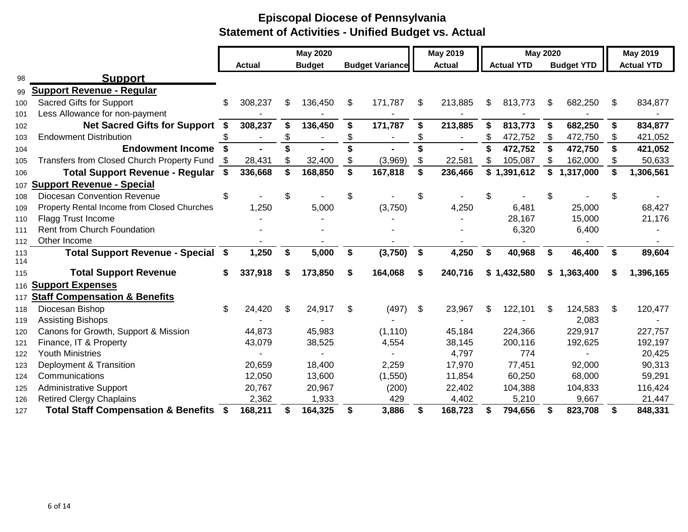|            |                                                   |      |               |     | <b>May 2020</b> |    |                        |                   | <b>May 2019</b> |     | <b>May 2020</b>   |    |                   |    | May 2019          |
|------------|---------------------------------------------------|------|---------------|-----|-----------------|----|------------------------|-------------------|-----------------|-----|-------------------|----|-------------------|----|-------------------|
|            |                                                   |      | <b>Actual</b> |     | <b>Budget</b>   |    | <b>Budget Variance</b> |                   | <b>Actual</b>   |     | <b>Actual YTD</b> |    | <b>Budget YTD</b> |    | <b>Actual YTD</b> |
| 98         | <b>Support</b>                                    |      |               |     |                 |    |                        |                   |                 |     |                   |    |                   |    |                   |
| 99         | <b>Support Revenue - Regular</b>                  |      |               |     |                 |    |                        |                   |                 |     |                   |    |                   |    |                   |
| 100        | Sacred Gifts for Support                          | \$   | 308,237       | S   | 136,450         | \$ | 171,787                | \$                | 213,885         | S   | 813,773           | \$ | 682,250           | \$ | 834,877           |
| 101        | Less Allowance for non-payment                    |      |               |     |                 |    |                        |                   |                 |     |                   |    |                   |    |                   |
| 102        | <b>Net Sacred Gifts for Support</b>               | - \$ | 308,237       | \$  | 136,450         | \$ | 171,787                | \$                | 213,885         | \$  | 813,773           | \$ | 682,250           | \$ | 834,877           |
| 103        | <b>Endowment Distribution</b>                     | \$   |               | \$  |                 |    |                        | \$                |                 | \$  | 472,752           | \$ | 472,750           | \$ | 421,052           |
| 104        | <b>Endowment Income</b>                           | \$   |               |     |                 |    |                        |                   |                 |     | 472,752           | \$ | 472,750           | \$ | 421,052           |
| 105        | Transfers from Closed Church Property Fund        |      | 28,431        | S   | 32,400          | \$ | (3,969)                | \$                | 22,581          | \$  | 105,087           |    | 162,000           | \$ | 50,633            |
| 106        | Total Support Revenue - Regular \$                |      | 336,668       | \$  | 168,850         | \$ | 167,818                | \$                | 236,466         |     | \$1,391,612       | \$ | 1,317,000         | \$ | 1,306,561         |
| 107        | <b>Support Revenue - Special</b>                  |      |               |     |                 |    |                        |                   |                 |     |                   |    |                   |    |                   |
| 108        | <b>Diocesan Convention Revenue</b>                | \$   |               | \$  |                 | \$ |                        | \$                |                 |     |                   |    |                   | \$ |                   |
| 109        | Property Rental Income from Closed Churches       |      | 1,250         |     | 5,000           |    | (3,750)                |                   | 4,250           |     | 6,481             |    | 25,000            |    | 68,427            |
| 110        | Flagg Trust Income                                |      |               |     |                 |    |                        |                   |                 |     | 28,167            |    | 15,000            |    | 21,176            |
| 111        | Rent from Church Foundation                       |      |               |     |                 |    |                        |                   |                 |     | 6,320             |    | 6,400             |    |                   |
| 112        | Other Income                                      |      |               |     |                 |    |                        |                   |                 |     |                   |    |                   |    |                   |
| 113<br>114 | Total Support Revenue - Special \$                |      | 1,250         | \$  | 5,000           | \$ | (3,750)                | $\boldsymbol{\$}$ | 4,250           | \$  | 40,968            | \$ | 46,400            | \$ | 89,604            |
| 115        | <b>Total Support Revenue</b>                      | S    | 337,918       | S   | 173,850         | S  | 164,068                | S                 | 240,716         |     | \$1,432,580       | S. | 1,363,400         | S  | 1,396,165         |
| 116        | <b>Support Expenses</b>                           |      |               |     |                 |    |                        |                   |                 |     |                   |    |                   |    |                   |
| 117        | <b>Staff Compensation &amp; Benefits</b>          |      |               |     |                 |    |                        |                   |                 |     |                   |    |                   |    |                   |
| 118        | Diocesan Bishop                                   | S    | 24,420        | \$. | 24,917          | \$ | (497)                  | -S                | 23,967          | \$. | 122,101           | S  | 124,583           | S  | 120,477           |
| 119        | <b>Assisting Bishops</b>                          |      |               |     |                 |    |                        |                   |                 |     |                   |    | 2,083             |    |                   |
| 120        | Canons for Growth, Support & Mission              |      | 44,873        |     | 45,983          |    | (1, 110)               |                   | 45,184          |     | 224,366           |    | 229,917           |    | 227,757           |
| 121        | Finance, IT & Property                            |      | 43,079        |     | 38,525          |    | 4,554                  |                   | 38,145          |     | 200,116           |    | 192,625           |    | 192,197           |
| 122        | <b>Youth Ministries</b>                           |      |               |     |                 |    |                        |                   | 4,797           |     | 774               |    |                   |    | 20,425            |
| 123        | Deployment & Transition                           |      | 20,659        |     | 18,400          |    | 2,259                  |                   | 17,970          |     | 77,451            |    | 92,000            |    | 90,313            |
| 124        | Communications                                    |      | 12,050        |     | 13,600          |    | (1,550)                |                   | 11,854          |     | 60,250            |    | 68,000            |    | 59,291            |
| 125        | <b>Administrative Support</b>                     |      | 20,767        |     | 20,967          |    | (200)                  |                   | 22,402          |     | 104,388           |    | 104,833           |    | 116,424           |
| 126        | <b>Retired Clergy Chaplains</b>                   |      | 2,362         |     | 1,933           |    | 429                    |                   | 4,402           |     | 5,210             |    | 9,667             |    | 21,447            |
| 127        | <b>Total Staff Compensation &amp; Benefits \$</b> |      | 168,211       |     | 164,325         | \$ | 3,886                  | \$                | 168,723         | S   | 794,656           | S  | 823,708           | \$ | 848,331           |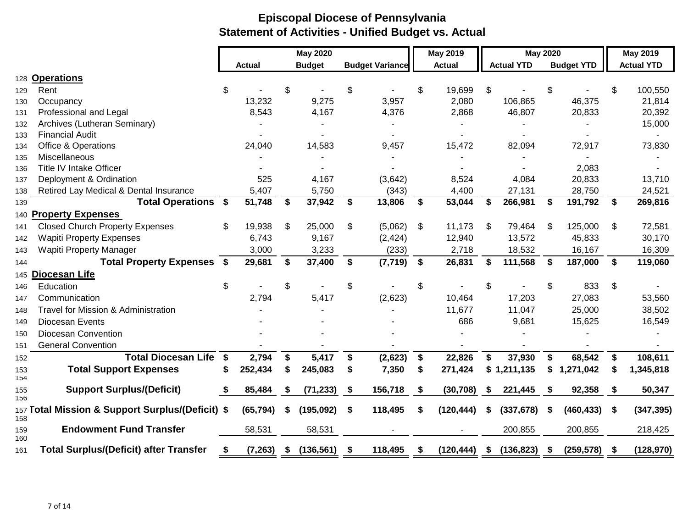|            |                                                  |    |               |    | <b>May 2020</b> |                        | <b>May 2019</b>  |      | <b>May 2020</b>   |      |                   |      | <b>May 2019</b>   |
|------------|--------------------------------------------------|----|---------------|----|-----------------|------------------------|------------------|------|-------------------|------|-------------------|------|-------------------|
|            |                                                  |    | <b>Actual</b> |    | <b>Budget</b>   | <b>Budget Variance</b> | <b>Actual</b>    |      | <b>Actual YTD</b> |      | <b>Budget YTD</b> |      | <b>Actual YTD</b> |
|            | 128 Operations                                   |    |               |    |                 |                        |                  |      |                   |      |                   |      |                   |
| 129        | Rent                                             | S. |               | \$ |                 | \$                     | \$<br>19,699     | \$   |                   | \$   |                   | \$   | 100,550           |
| 130        | Occupancy                                        |    | 13,232        |    | 9,275           | 3,957                  | 2,080            |      | 106,865           |      | 46,375            |      | 21,814            |
| 131        | Professional and Legal                           |    | 8,543         |    | 4,167           | 4,376                  | 2,868            |      | 46,807            |      | 20,833            |      | 20,392            |
| 132        | Archives (Lutheran Seminary)                     |    |               |    |                 |                        |                  |      |                   |      |                   |      | 15,000            |
| 133        | <b>Financial Audit</b>                           |    |               |    |                 |                        |                  |      |                   |      |                   |      |                   |
| 134        | <b>Office &amp; Operations</b>                   |    | 24,040        |    | 14,583          | 9,457                  | 15,472           |      | 82,094            |      | 72,917            |      | 73,830            |
| 135        | Miscellaneous                                    |    |               |    |                 |                        |                  |      |                   |      |                   |      |                   |
| 136        | Title IV Intake Officer                          |    |               |    |                 |                        |                  |      |                   |      | 2,083             |      |                   |
| 137        | Deployment & Ordination                          |    | 525           |    | 4,167           | (3,642)                | 8,524            |      | 4,084             |      | 20,833            |      | 13,710            |
| 138        | Retired Lay Medical & Dental Insurance           |    | 5,407         |    | 5,750           | (343)                  | 4,400            |      | 27,131            |      | 28,750            |      | 24,521            |
| 139        | <b>Total Operations \$</b>                       |    | 51,748        | \$ | 37,942          | \$<br>13,806           | \$<br>53,044     | S    | 266,981           | \$   | 191,792           | \$   | 269,816           |
|            | 140 Property Expenses                            |    |               |    |                 |                        |                  |      |                   |      |                   |      |                   |
| 141        | <b>Closed Church Property Expenses</b>           | \$ | 19,938        | \$ | 25,000          | \$<br>(5,062)          | \$<br>11,173     | \$   | 79,464            | \$   | 125,000           | \$   | 72,581            |
| 142        | <b>Wapiti Property Expenses</b>                  |    | 6,743         |    | 9,167           | (2, 424)               | 12,940           |      | 13,572            |      | 45,833            |      | 30,170            |
| 143        | <b>Wapiti Property Manager</b>                   |    | 3,000         |    | 3,233           | (233)                  | 2,718            |      | 18,532            |      | 16,167            |      | 16,309            |
| 144        | <b>Total Property Expenses \$</b>                |    | 29,681        | \$ | 37,400          | \$<br>(7, 719)         | \$<br>26,831     | £.   | 111,568           | Ŝ.   | 187,000           | \$   | 119,060           |
|            | 145 Diocesan Life                                |    |               |    |                 |                        |                  |      |                   |      |                   |      |                   |
| 146        | Education                                        | \$ |               | \$ |                 | \$                     | \$               | \$   |                   | \$   | 833               | \$   |                   |
| 147        | Communication                                    |    | 2,794         |    | 5,417           | (2,623)                | 10,464           |      | 17,203            |      | 27,083            |      | 53,560            |
| 148        | Travel for Mission & Administration              |    |               |    |                 |                        | 11,677           |      | 11,047            |      | 25,000            |      | 38,502            |
| 149        | Diocesan Events                                  |    |               |    |                 |                        | 686              |      | 9,681             |      | 15,625            |      | 16,549            |
| 150        | Diocesan Convention                              |    |               |    |                 |                        |                  |      |                   |      |                   |      |                   |
| 151        | <b>General Convention</b>                        |    |               |    |                 |                        |                  |      |                   |      |                   |      |                   |
| 152        | <b>Total Diocesan Life</b>                       | \$ | 2,794         | \$ | 5,417           | \$<br>(2,623)          | \$<br>22,826     | \$   | 37,930            | \$   | 68,542            | \$   | 108,611           |
| 153<br>154 | <b>Total Support Expenses</b>                    |    | 252,434       | \$ | 245,083         | \$<br>7,350            | \$<br>271,424    | \$   | 1,211,135         | \$   | 1,271,042         | S    | 1,345,818         |
| 155<br>156 | <b>Support Surplus/(Deficit)</b>                 | S  | 85,484        | \$ | (71, 233)       | \$<br>156,718          | \$<br>(30, 708)  | S    | 221,445           | \$   | 92,358            | \$   | 50,347            |
| 158        | 157 Total Mission & Support Surplus/(Deficit) \$ |    | (65, 794)     | \$ | (195, 092)      | \$<br>118,495          | \$<br>(120, 444) | -S   | (337, 678)        | S    | (460, 433)        | \$   | (347, 395)        |
| 159<br>160 | <b>Endowment Fund Transfer</b>                   |    | 58,531        |    | 58,531          |                        |                  |      | 200,855           |      | 200,855           |      | 218,425           |
| 161        | <b>Total Surplus/(Deficit) after Transfer</b>    | \$ | (7, 263)      | S. | (136, 561)      | \$<br>118,495          | (120, 444)       | - \$ | (136, 823)        | - \$ | (259, 578)        | - \$ | (128, 970)        |
|            |                                                  |    |               |    |                 |                        |                  |      |                   |      |                   |      |                   |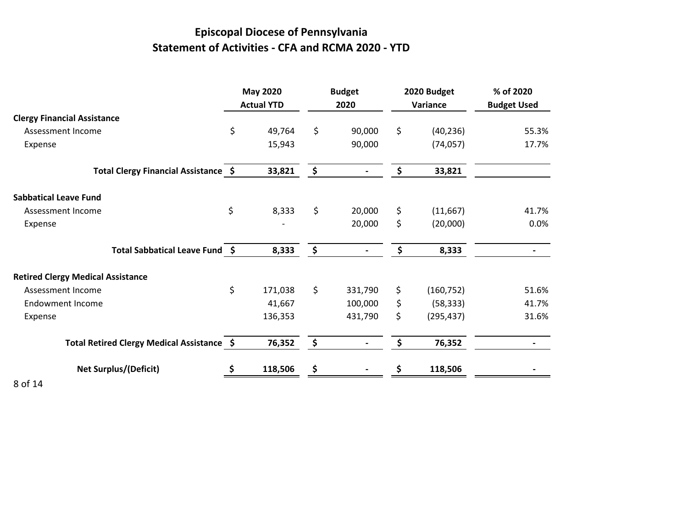# **Episcopal Diocese of Pennsylvania Statement of Activities - CFA and RCMA 2020 - YTD**

|                                            | <b>May 2020</b><br><b>Actual YTD</b> | <b>Budget</b><br>2020 | 2020 Budget<br>Variance | % of 2020<br><b>Budget Used</b> |
|--------------------------------------------|--------------------------------------|-----------------------|-------------------------|---------------------------------|
| <b>Clergy Financial Assistance</b>         |                                      |                       |                         |                                 |
| Assessment Income                          | \$<br>49,764                         | \$<br>90,000          | \$<br>(40, 236)         | 55.3%                           |
| Expense                                    | 15,943                               | 90,000                | (74, 057)               | 17.7%                           |
| Total Clergy Financial Assistance \$       | 33,821                               | \$                    | \$<br>33,821            |                                 |
| <b>Sabbatical Leave Fund</b>               |                                      |                       |                         |                                 |
| Assessment Income                          | \$<br>8,333                          | \$<br>20,000          | \$<br>(11, 667)         | 41.7%                           |
| Expense                                    |                                      | 20,000                | \$<br>(20,000)          | 0.0%                            |
| Total Sabbatical Leave Fund \$             | 8,333                                | \$                    | \$<br>8,333             | $\overline{\phantom{0}}$        |
| <b>Retired Clergy Medical Assistance</b>   |                                      |                       |                         |                                 |
| Assessment Income                          | \$<br>171,038                        | \$<br>331,790         | \$<br>(160, 752)        | 51.6%                           |
| <b>Endowment Income</b>                    | 41,667                               | 100,000               | \$<br>(58, 333)         | 41.7%                           |
| Expense                                    | 136,353                              | 431,790               | \$<br>(295, 437)        | 31.6%                           |
| Total Retired Clergy Medical Assistance \$ | 76,352                               | \$                    | \$<br>76,352            |                                 |
| <b>Net Surplus/(Deficit)</b>               | \$<br>118,506                        | \$                    | 118,506                 |                                 |
| <b>0.444</b>                               |                                      |                       |                         |                                 |

8 of 14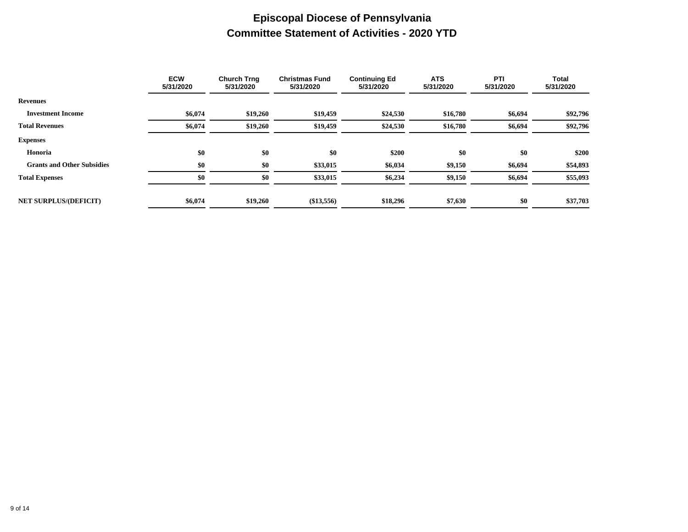## **Episcopal Diocese of Pennsylvania Committee Statement of Activities - 2020 YTD**

|                                   | <b>ECW</b><br>5/31/2020 | <b>Church Trng</b><br>5/31/2020 | <b>Christmas Fund</b><br>5/31/2020 | <b>Continuing Ed</b><br>5/31/2020 | <b>ATS</b><br>5/31/2020 | PTI<br>5/31/2020 | Total<br>5/31/2020 |
|-----------------------------------|-------------------------|---------------------------------|------------------------------------|-----------------------------------|-------------------------|------------------|--------------------|
| <b>Revenues</b>                   |                         |                                 |                                    |                                   |                         |                  |                    |
| <b>Investment Income</b>          | \$6,074                 | \$19,260                        | \$19,459                           | \$24,530                          | \$16,780                | \$6,694          | \$92,796           |
| <b>Total Revenues</b>             | \$6,074                 | \$19,260                        | \$19,459                           | \$24,530                          | \$16,780                | \$6,694          | \$92,796           |
| <b>Expenses</b>                   |                         |                                 |                                    |                                   |                         |                  |                    |
| Honoria                           | \$0                     | \$0                             | \$0                                | \$200                             | \$0                     | \$0              | \$200              |
| <b>Grants and Other Subsidies</b> | \$0                     | \$0                             | \$33,015                           | \$6,034                           | \$9,150                 | \$6,694          | \$54,893           |
| <b>Total Expenses</b>             | \$0                     | \$0                             | \$33,015                           | \$6,234                           | \$9,150                 | \$6,694          | \$55,093           |
|                                   |                         |                                 |                                    |                                   |                         |                  |                    |
| <b>NET SURPLUS/(DEFICIT)</b>      | \$6,074                 | \$19,260                        | $(\$13,556)$                       | \$18,296                          | \$7,630                 | \$0              | \$37,703           |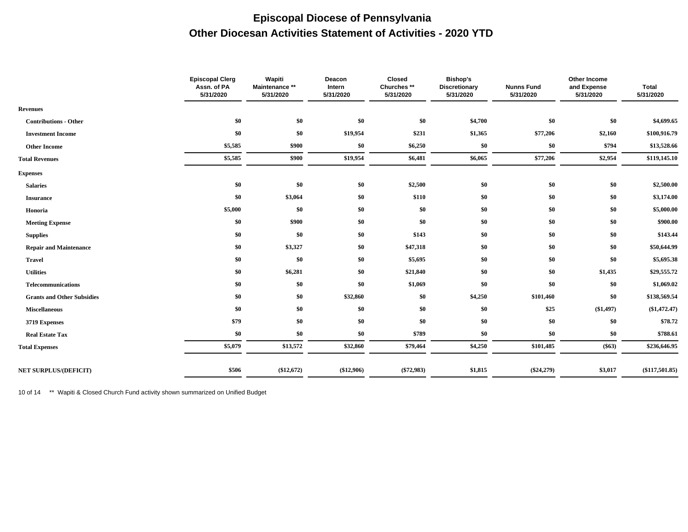## **Episcopal Diocese of Pennsylvania Other Diocesan Activities Statement of Activities - 2020 YTD**

|                                   | <b>Episcopal Clerg</b><br>Assn. of PA<br>5/31/2020 | Wapiti<br>Maintenance **<br>5/31/2020 | Deacon<br>Intern<br>5/31/2020 | Closed<br>Churches **<br>5/31/2020 | <b>Bishop's</b><br><b>Discretionary</b><br>5/31/2020 | <b>Nunns Fund</b><br>5/31/2020 | Other Income<br>and Expense<br>5/31/2020 | <b>Total</b><br>5/31/2020 |
|-----------------------------------|----------------------------------------------------|---------------------------------------|-------------------------------|------------------------------------|------------------------------------------------------|--------------------------------|------------------------------------------|---------------------------|
| <b>Revenues</b>                   |                                                    |                                       |                               |                                    |                                                      |                                |                                          |                           |
| <b>Contributions - Other</b>      | \$0                                                | \$0                                   | \$0                           | \$0                                | \$4,700                                              | $\$0$                          | \$0                                      | \$4,699.65                |
| <b>Investment Income</b>          | \$0                                                | \$0                                   | \$19,954                      | \$231                              | \$1,365                                              | \$77,206                       | \$2,160                                  | \$100,916.79              |
| <b>Other Income</b>               | \$5,585                                            | \$900                                 | \$0                           | \$6,250                            | \$0                                                  | \$0                            | \$794                                    | \$13,528.66               |
| <b>Total Revenues</b>             | \$5,585                                            | \$900                                 | \$19,954                      | \$6,481                            | \$6,065                                              | \$77,206                       | \$2,954                                  | \$119,145.10              |
| <b>Expenses</b>                   |                                                    |                                       |                               |                                    |                                                      |                                |                                          |                           |
| <b>Salaries</b>                   | \$0                                                | \$0                                   | \$0                           | \$2,500                            | \$0                                                  | \$0                            | \$0                                      | \$2,500.00                |
| <b>Insurance</b>                  | \$0                                                | \$3,064                               | \$0                           | \$110                              | \$0                                                  | \$0                            | \$0                                      | \$3,174.00                |
| Honoria                           | \$5,000                                            | \$0                                   | \$0                           | \$0                                | \$0                                                  | \$0                            | \$0                                      | \$5,000.00                |
| <b>Meeting Expense</b>            | \$0                                                | \$900                                 | \$0                           | \$0                                | \$0                                                  | \$0                            | \$0                                      | \$900.00                  |
| <b>Supplies</b>                   | \$0                                                | \$0                                   | \$0                           | \$143                              | \$0                                                  | \$0                            | \$0                                      | \$143.44                  |
| <b>Repair and Maintenance</b>     | \$0                                                | \$3,327                               | \$0                           | \$47,318                           | \$0                                                  | \$0                            | \$0                                      | \$50,644.99               |
| <b>Travel</b>                     | \$0                                                | \$0                                   | \$0                           | \$5,695                            | \$0                                                  | \$0                            | \$0                                      | \$5,695.38                |
| <b>Utilities</b>                  | \$0                                                | \$6,281                               | \$0                           | \$21,840                           | \$0                                                  | \$0                            | \$1,435                                  | \$29,555.72               |
| <b>Telecommunications</b>         | \$0                                                | \$0                                   | \$0                           | \$1,069                            | \$0                                                  | \$0                            | \$0                                      | \$1,069.02                |
| <b>Grants and Other Subsidies</b> | \$0                                                | \$0                                   | \$32,860                      | \$0                                | \$4,250                                              | \$101,460                      | \$0                                      | \$138,569.54              |
| <b>Miscellaneous</b>              | \$0                                                | \$0                                   | \$0                           | \$0                                | \$0                                                  | \$25                           | (\$1,497)                                | $(\$1,472.47)$            |
| 3719 Expenses                     | \$79                                               | \$0                                   | \$0                           | \$0                                | \$0                                                  | \$0                            | \$0                                      | \$78.72                   |
| <b>Real Estate Tax</b>            | \$0                                                | \$0                                   | \$0                           | \$789                              | \$0                                                  | \$0                            | \$0                                      | \$788.61                  |
| <b>Total Expenses</b>             | \$5,079                                            | \$13,572                              | \$32,860                      | \$79,464                           | \$4,250                                              | \$101,485                      | $(\$63)$                                 | \$236,646.95              |
| <b>NET SURPLUS/(DEFICIT)</b>      | \$506                                              | (\$12,672)                            | (\$12,906)                    | $(\$72,983)$                       | \$1,815                                              | $(\$24,279)$                   | \$3,017                                  | $(\$117,501.85)$          |
|                                   |                                                    |                                       |                               |                                    |                                                      |                                |                                          |                           |

10 of 14 \*\* Wapiti & Closed Church Fund activity shown summarized on Unified Budget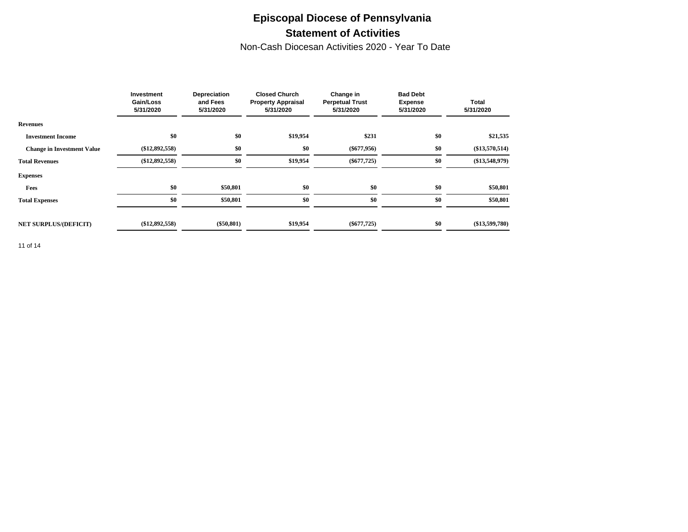## **Episcopal Diocese of Pennsylvania Statement of Activities**

Non-Cash Diocesan Activities 2020 - Year To Date

|                                   | Investment<br>Gain/Loss<br>5/31/2020 | Depreciation<br>and Fees<br>5/31/2020 | <b>Closed Church</b><br><b>Property Appraisal</b><br>5/31/2020 | Change in<br><b>Perpetual Trust</b><br>5/31/2020 | <b>Bad Debt</b><br><b>Expense</b><br>5/31/2020 | <b>Total</b><br>5/31/2020 |
|-----------------------------------|--------------------------------------|---------------------------------------|----------------------------------------------------------------|--------------------------------------------------|------------------------------------------------|---------------------------|
| <b>Revenues</b>                   |                                      |                                       |                                                                |                                                  |                                                |                           |
| <b>Investment Income</b>          | \$0                                  | \$0                                   | \$19,954                                                       | \$231                                            | \$0                                            | \$21,535                  |
| <b>Change in Investment Value</b> | $(\$12,892,558)$                     | \$0                                   | \$0                                                            | $(\$677,956)$                                    | \$0                                            | $(\$13,570,514)$          |
| <b>Total Revenues</b>             | $(\$12,892,558)$                     | \$0                                   | \$19,954                                                       | $(\$677,725)$                                    | \$0                                            | $(\$13,548,979)$          |
| <b>Expenses</b>                   |                                      |                                       |                                                                |                                                  |                                                |                           |
| Fees                              | \$0                                  | \$50,801                              | \$0                                                            | \$0                                              | \$0                                            | \$50,801                  |
| <b>Total Expenses</b>             | \$0                                  | \$50,801                              | \$0                                                            | \$0                                              | \$0                                            | \$50,801                  |
|                                   |                                      |                                       |                                                                |                                                  |                                                |                           |
| <b>NET SURPLUS/(DEFICIT)</b>      | $(\$12,892,558)$                     | $(\$50,801)$                          | \$19,954                                                       | $(\$677,725)$                                    | \$0                                            | $(\$13,599,780)$          |

11 of 14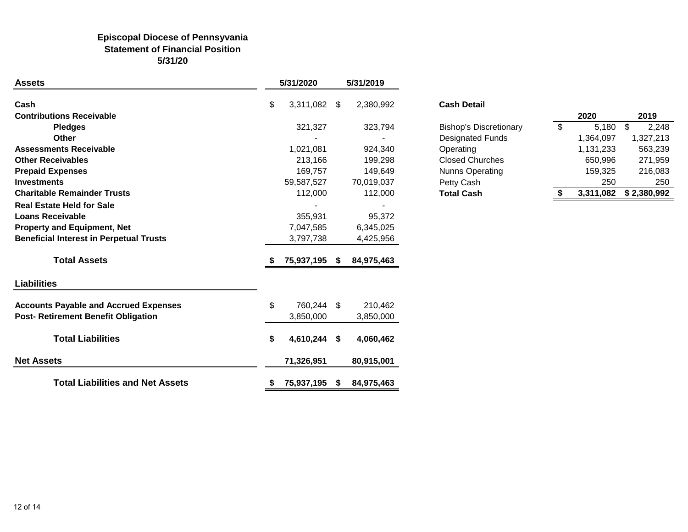#### **Episcopal Diocese of Pennsyvania Statement of Financial Position 5/31/20**

| <b>Assets</b>                                  |    | 5/31/2020  |    | 5/31/2019  |                               |                |           |                                     |
|------------------------------------------------|----|------------|----|------------|-------------------------------|----------------|-----------|-------------------------------------|
| Cash                                           | \$ | 3,311,082  | \$ | 2,380,992  | <b>Cash Detail</b>            |                |           |                                     |
| <b>Contributions Receivable</b>                |    |            |    |            |                               |                | 2020      | 2019                                |
| <b>Pledges</b>                                 |    | 321,327    |    | 323,794    | <b>Bishop's Discretionary</b> | $\mathfrak{S}$ | 5,180     | $\boldsymbol{\mathsf{\$}}$<br>2,248 |
| <b>Other</b>                                   |    |            |    |            | <b>Designated Funds</b>       |                | 1,364,097 | 1,327,213                           |
| <b>Assessments Receivable</b>                  |    | 1,021,081  |    | 924,340    | Operating                     |                | 1,131,233 | 563,239                             |
| <b>Other Receivables</b>                       |    | 213,166    |    | 199,298    | <b>Closed Churches</b>        |                | 650,996   | 271,959                             |
| <b>Prepaid Expenses</b>                        |    | 169,757    |    | 149,649    | Nunns Operating               |                | 159,325   | 216,083                             |
| <b>Investments</b>                             |    | 59,587,527 |    | 70,019,037 | Petty Cash                    |                | 250       | 250                                 |
| <b>Charitable Remainder Trusts</b>             |    | 112,000    |    | 112,000    | <b>Total Cash</b>             | S.             | 3,311,082 | \$2,380,992                         |
| <b>Real Estate Held for Sale</b>               |    |            |    |            |                               |                |           |                                     |
| <b>Loans Receivable</b>                        |    | 355,931    |    | 95,372     |                               |                |           |                                     |
| <b>Property and Equipment, Net</b>             |    | 7,047,585  |    | 6,345,025  |                               |                |           |                                     |
| <b>Beneficial Interest in Perpetual Trusts</b> |    | 3,797,738  |    | 4,425,956  |                               |                |           |                                     |
| <b>Total Assets</b>                            |    | 75,937,195 | -S | 84,975,463 |                               |                |           |                                     |
| <b>Liabilities</b>                             |    |            |    |            |                               |                |           |                                     |
| <b>Accounts Payable and Accrued Expenses</b>   | \$ | 760,244    | \$ | 210,462    |                               |                |           |                                     |
| Post- Retirement Benefit Obligation            |    | 3,850,000  |    | 3,850,000  |                               |                |           |                                     |
| <b>Total Liabilities</b>                       | S  | 4,610,244  | \$ | 4,060,462  |                               |                |           |                                     |
| <b>Net Assets</b>                              |    | 71,326,951 |    | 80,915,001 |                               |                |           |                                     |
| <b>Total Liabilities and Net Assets</b>        |    | 75,937,195 | S. | 84,975,463 |                               |                |           |                                     |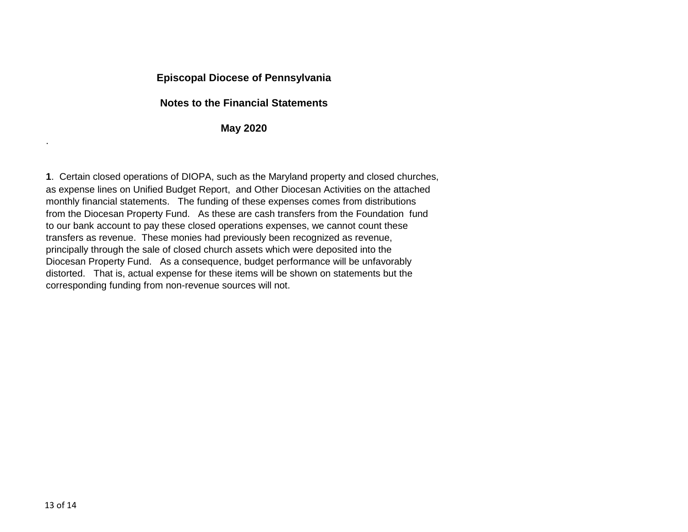### **Episcopal Diocese of Pennsylvania**

#### **Notes to the Financial Statements**

#### **May 2020**

**1**. Certain closed operations of DIOPA, such as the Maryland property and closed churches, as expense lines on Unified Budget Report, and Other Diocesan Activities on the attached monthly financial statements. The funding of these expenses comes from distributions from the Diocesan Property Fund. As these are cash transfers from the Foundation fund to our bank account to pay these closed operations expenses, we cannot count these transfers as revenue. These monies had previously been recognized as revenue, principally through the sale of closed church assets which were deposited into the Diocesan Property Fund. As a consequence, budget performance will be unfavorably distorted. That is, actual expense for these items will be shown on statements but the corresponding funding from non-revenue sources will not.

.